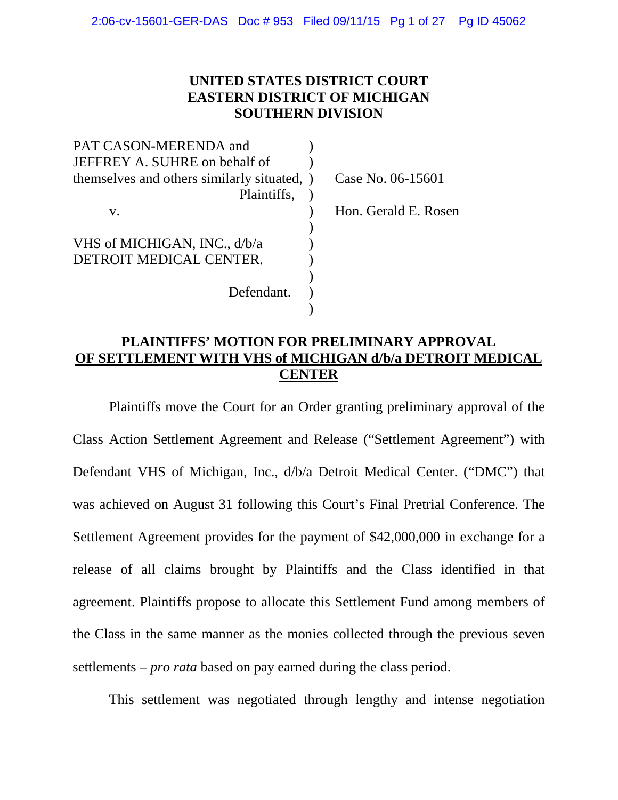# **UNITED STATES DISTRICT COURT EASTERN DISTRICT OF MICHIGAN SOUTHERN DIVISION**

| PAT CASON-MERENDA and                       |                      |
|---------------------------------------------|----------------------|
| JEFFREY A. SUHRE on behalf of               |                      |
| themselves and others similarly situated, ) | Case No. 06-15601    |
| Plaintiffs,                                 |                      |
| V.                                          | Hon. Gerald E. Rosen |
|                                             |                      |
| VHS of MICHIGAN, INC., d/b/a                |                      |
| DETROIT MEDICAL CENTER.                     |                      |
|                                             |                      |
| Defendant.                                  |                      |
|                                             |                      |
|                                             |                      |

# **PLAINTIFFS' MOTION FOR PRELIMINARY APPROVAL OF SETTLEMENT WITH VHS of MICHIGAN d/b/a DETROIT MEDICAL CENTER**

Plaintiffs move the Court for an Order granting preliminary approval of the Class Action Settlement Agreement and Release ("Settlement Agreement") with Defendant VHS of Michigan, Inc., d/b/a Detroit Medical Center. ("DMC") that was achieved on August 31 following this Court's Final Pretrial Conference. The Settlement Agreement provides for the payment of \$42,000,000 in exchange for a release of all claims brought by Plaintiffs and the Class identified in that agreement. Plaintiffs propose to allocate this Settlement Fund among members of the Class in the same manner as the monies collected through the previous seven settlements – *pro rata* based on pay earned during the class period.

This settlement was negotiated through lengthy and intense negotiation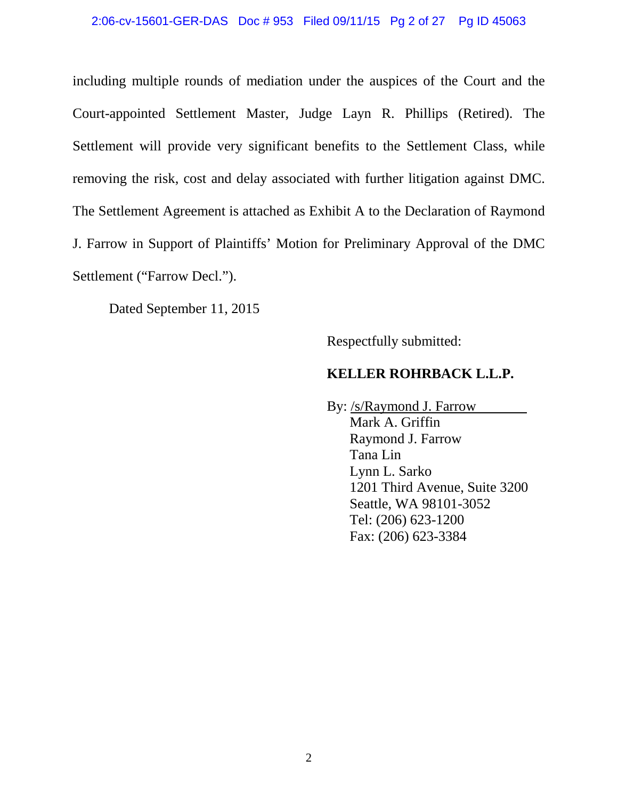#### 2:06-cv-15601-GER-DAS Doc # 953 Filed 09/11/15 Pg 2 of 27 Pg ID 45063

including multiple rounds of mediation under the auspices of the Court and the Court-appointed Settlement Master, Judge Layn R. Phillips (Retired). The Settlement will provide very significant benefits to the Settlement Class, while removing the risk, cost and delay associated with further litigation against DMC. The Settlement Agreement is attached as Exhibit A to the Declaration of Raymond J. Farrow in Support of Plaintiffs' Motion for Preliminary Approval of the DMC Settlement ("Farrow Decl.").

Dated September 11, 2015

Respectfully submitted:

#### **KELLER ROHRBACK L.L.P.**

By: /s/Raymond J. Farrow Mark A. Griffin Raymond J. Farrow Tana Lin Lynn L. Sarko 1201 Third Avenue, Suite 3200 Seattle, WA 98101-3052 Tel: (206) 623-1200 Fax: (206) 623-3384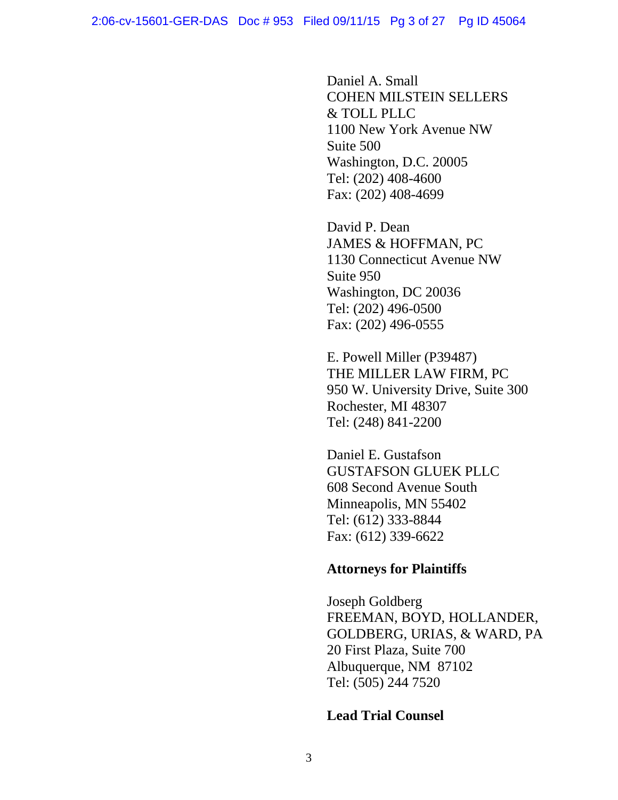Daniel A. Small COHEN MILSTEIN SELLERS & TOLL PLLC 1100 New York Avenue NW Suite 500 Washington, D.C. 20005 Tel: (202) 408-4600 Fax: (202) 408-4699

David P. Dean JAMES & HOFFMAN, PC 1130 Connecticut Avenue NW Suite 950 Washington, DC 20036 Tel: (202) 496-0500 Fax: (202) 496-0555

E. Powell Miller (P39487) THE MILLER LAW FIRM, PC 950 W. University Drive, Suite 300 Rochester, MI 48307 Tel: (248) 841-2200

Daniel E. Gustafson GUSTAFSON GLUEK PLLC 608 Second Avenue South Minneapolis, MN 55402 Tel: (612) 333-8844 Fax: (612) 339-6622

# **Attorneys for Plaintiffs**

Joseph Goldberg FREEMAN, BOYD, HOLLANDER, GOLDBERG, URIAS, & WARD, PA 20 First Plaza, Suite 700 Albuquerque, NM 87102 Tel: (505) 244 7520

# **Lead Trial Counsel**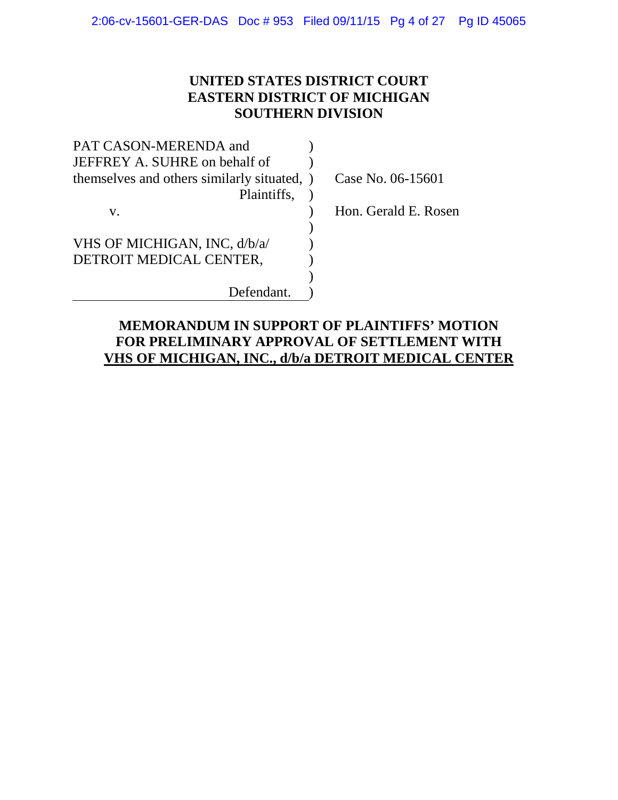# **UNITED STATES DISTRICT COURT EASTERN DISTRICT OF MICHIGAN SOUTHERN DIVISION**

Gerald E. Rosen

| PAT CASON-MERENDA and                       |                    |
|---------------------------------------------|--------------------|
| JEFFREY A. SUHRE on behalf of               |                    |
| themselves and others similarly situated, ) | Case No. 06-15601  |
| Plaintiffs,                                 |                    |
| V.                                          | Hon. Gerald E. Ros |
|                                             |                    |
| VHS OF MICHIGAN, INC, d/b/a/                |                    |
| DETROIT MEDICAL CENTER,                     |                    |
|                                             |                    |
| Defendant.                                  |                    |
|                                             |                    |

# **MEMORANDUM IN SUPPORT OF PLAINTIFFS' MOTION FOR PRELIMINARY APPROVAL OF SETTLEMENT WITH VHS OF MICHIGAN, INC., d/b/a DETROIT MEDICAL CENTER**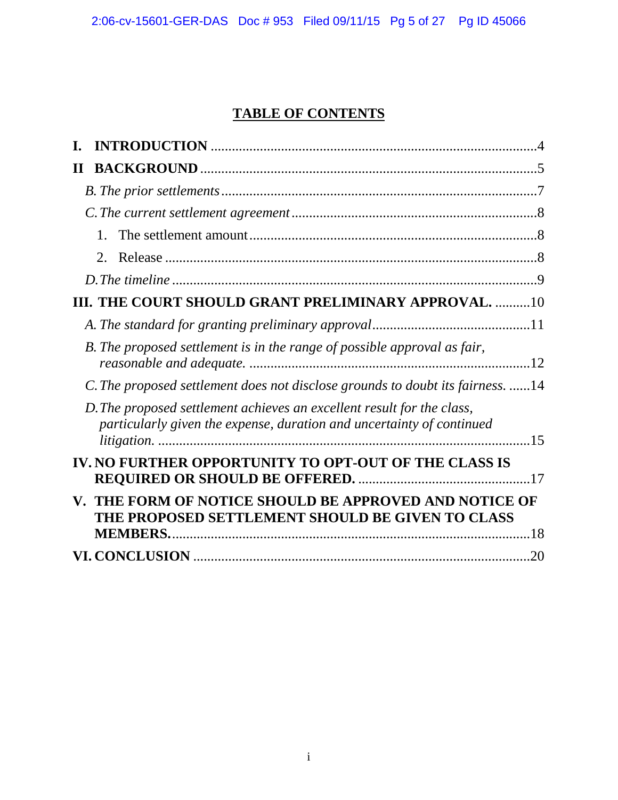# **TABLE OF CONTENTS**

| П                                                                                                                                               |
|-------------------------------------------------------------------------------------------------------------------------------------------------|
|                                                                                                                                                 |
|                                                                                                                                                 |
| $1_{-}$                                                                                                                                         |
| $2_{-}$                                                                                                                                         |
|                                                                                                                                                 |
| III. THE COURT SHOULD GRANT PRELIMINARY APPROVAL.  10                                                                                           |
|                                                                                                                                                 |
| B. The proposed settlement is in the range of possible approval as fair,                                                                        |
| C. The proposed settlement does not disclose grounds to doubt its fairness. 14                                                                  |
| D. The proposed settlement achieves an excellent result for the class,<br>particularly given the expense, duration and uncertainty of continued |
| IV. NO FURTHER OPPORTUNITY TO OPT-OUT OF THE CLASS IS                                                                                           |
| V. THE FORM OF NOTICE SHOULD BE APPROVED AND NOTICE OF<br>THE PROPOSED SETTLEMENT SHOULD BE GIVEN TO CLASS<br><b>MEMBERS.</b>                   |
| .20                                                                                                                                             |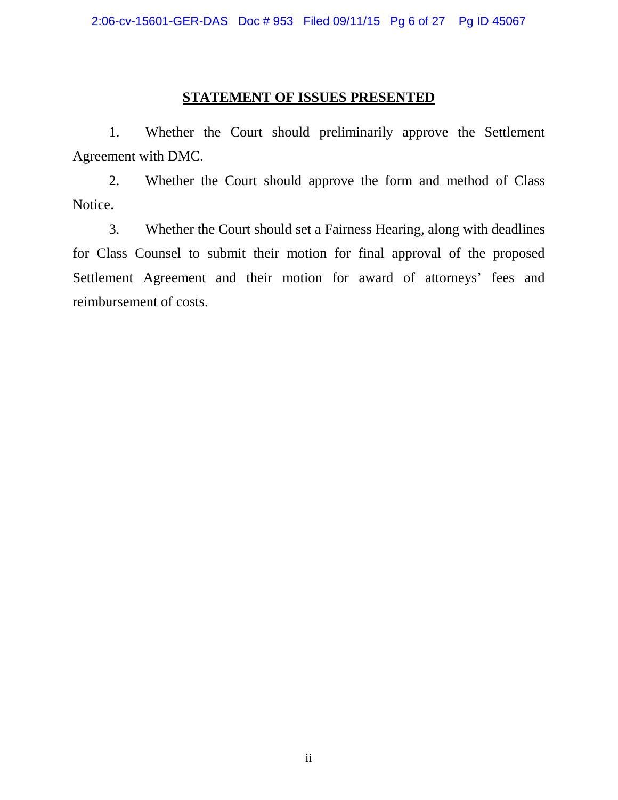# **STATEMENT OF ISSUES PRESENTED**

1. Whether the Court should preliminarily approve the Settlement Agreement with DMC.

2. Whether the Court should approve the form and method of Class Notice.

3. Whether the Court should set a Fairness Hearing, along with deadlines for Class Counsel to submit their motion for final approval of the proposed Settlement Agreement and their motion for award of attorneys' fees and reimbursement of costs.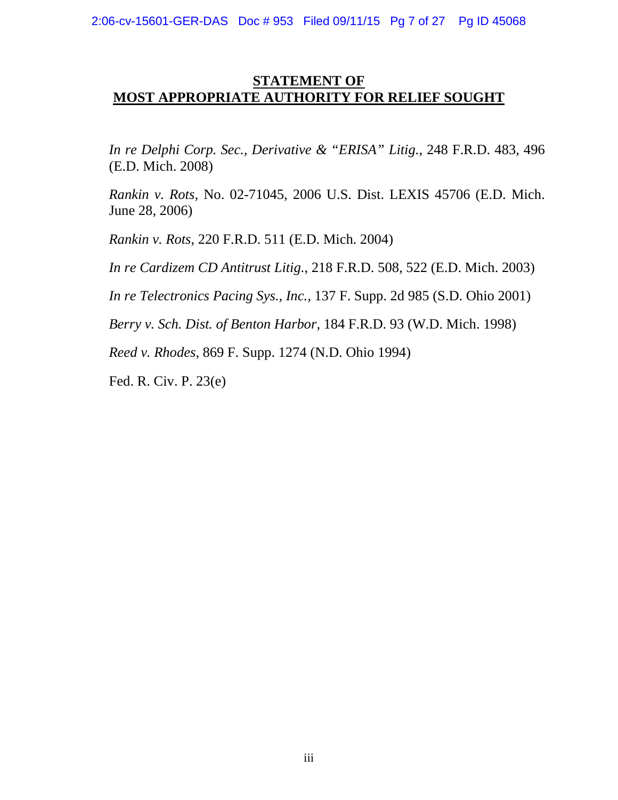# **STATEMENT OF MOST APPROPRIATE AUTHORITY FOR RELIEF SOUGHT**

*In re Delphi Corp. Sec., Derivative & "ERISA" Litig.*, 248 F.R.D. 483, 496 (E.D. Mich. 2008)

*Rankin v. Rots,* No. 02-71045, 2006 U.S. Dist. LEXIS 45706 (E.D. Mich. June 28, 2006)

*Rankin v. Rots*, 220 F.R.D. 511 (E.D. Mich. 2004)

*In re Cardizem CD Antitrust Litig.*, 218 F.R.D. 508, 522 (E.D. Mich. 2003)

*In re Telectronics Pacing Sys., Inc.,* 137 F. Supp. 2d 985 (S.D. Ohio 2001)

*Berry v. Sch. Dist. of Benton Harbor,* 184 F.R.D. 93 (W.D. Mich. 1998)

*Reed v. Rhodes,* 869 F. Supp. 1274 (N.D. Ohio 1994)

Fed. R. Civ. P. 23(e)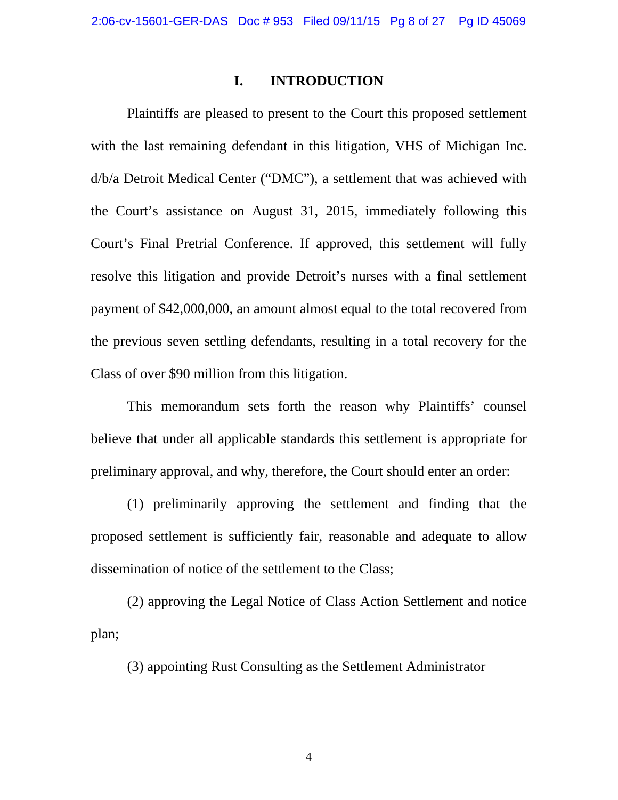#### **I. INTRODUCTION**

Plaintiffs are pleased to present to the Court this proposed settlement with the last remaining defendant in this litigation, VHS of Michigan Inc. d/b/a Detroit Medical Center ("DMC"), a settlement that was achieved with the Court's assistance on August 31, 2015, immediately following this Court's Final Pretrial Conference. If approved, this settlement will fully resolve this litigation and provide Detroit's nurses with a final settlement payment of \$42,000,000, an amount almost equal to the total recovered from the previous seven settling defendants, resulting in a total recovery for the Class of over \$90 million from this litigation.

This memorandum sets forth the reason why Plaintiffs' counsel believe that under all applicable standards this settlement is appropriate for preliminary approval, and why, therefore, the Court should enter an order:

(1) preliminarily approving the settlement and finding that the proposed settlement is sufficiently fair, reasonable and adequate to allow dissemination of notice of the settlement to the Class;

(2) approving the Legal Notice of Class Action Settlement and notice plan;

(3) appointing Rust Consulting as the Settlement Administrator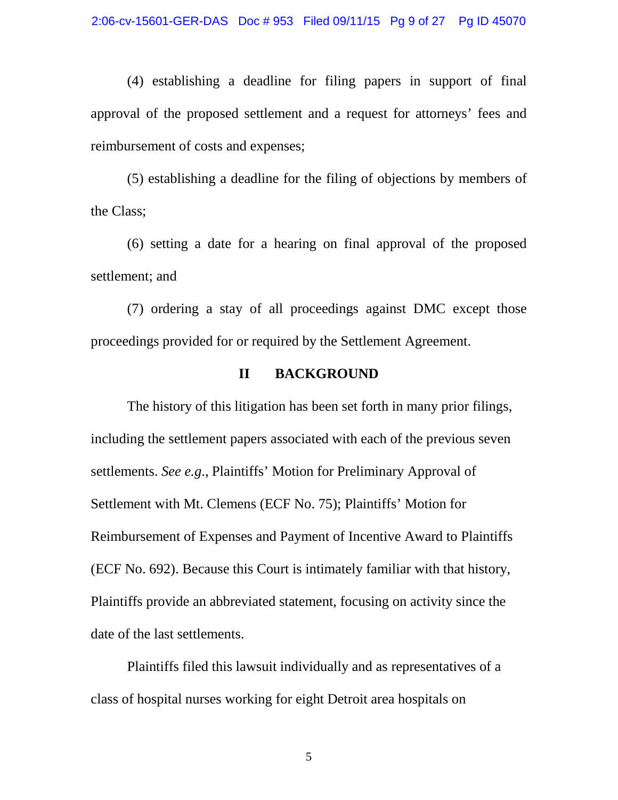(4) establishing a deadline for filing papers in support of final approval of the proposed settlement and a request for attorneys' fees and reimbursement of costs and expenses;

(5) establishing a deadline for the filing of objections by members of the Class;

(6) setting a date for a hearing on final approval of the proposed settlement; and

(7) ordering a stay of all proceedings against DMC except those proceedings provided for or required by the Settlement Agreement.

### **II BACKGROUND**

The history of this litigation has been set forth in many prior filings, including the settlement papers associated with each of the previous seven settlements. *See e.g*., Plaintiffs' Motion for Preliminary Approval of Settlement with Mt. Clemens (ECF No. 75); Plaintiffs' Motion for Reimbursement of Expenses and Payment of Incentive Award to Plaintiffs (ECF No. 692). Because this Court is intimately familiar with that history, Plaintiffs provide an abbreviated statement, focusing on activity since the date of the last settlements.

Plaintiffs filed this lawsuit individually and as representatives of a class of hospital nurses working for eight Detroit area hospitals on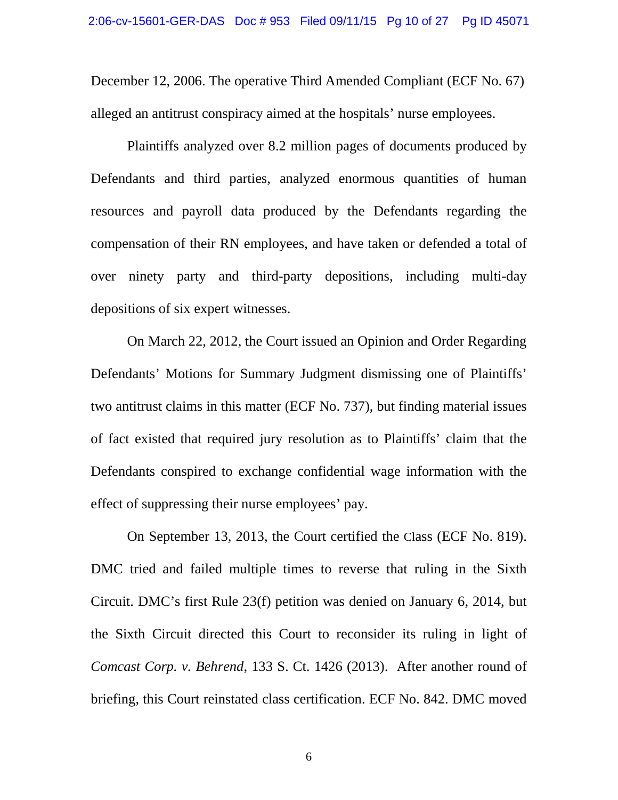December 12, 2006. The operative Third Amended Compliant (ECF No. 67) alleged an antitrust conspiracy aimed at the hospitals' nurse employees.

Plaintiffs analyzed over 8.2 million pages of documents produced by Defendants and third parties, analyzed enormous quantities of human resources and payroll data produced by the Defendants regarding the compensation of their RN employees, and have taken or defended a total of over ninety party and third-party depositions, including multi-day depositions of six expert witnesses.

On March 22, 2012, the Court issued an Opinion and Order Regarding Defendants' Motions for Summary Judgment dismissing one of Plaintiffs' two antitrust claims in this matter (ECF No. 737), but finding material issues of fact existed that required jury resolution as to Plaintiffs' claim that the Defendants conspired to exchange confidential wage information with the effect of suppressing their nurse employees' pay.

On September 13, 2013, the Court certified the Class (ECF No. 819). DMC tried and failed multiple times to reverse that ruling in the Sixth Circuit. DMC's first Rule 23(f) petition was denied on January 6, 2014, but the Sixth Circuit directed this Court to reconsider its ruling in light of *Comcast Corp. v. Behrend*, 133 S. Ct. 1426 (2013). After another round of briefing, this Court reinstated class certification. ECF No. 842. DMC moved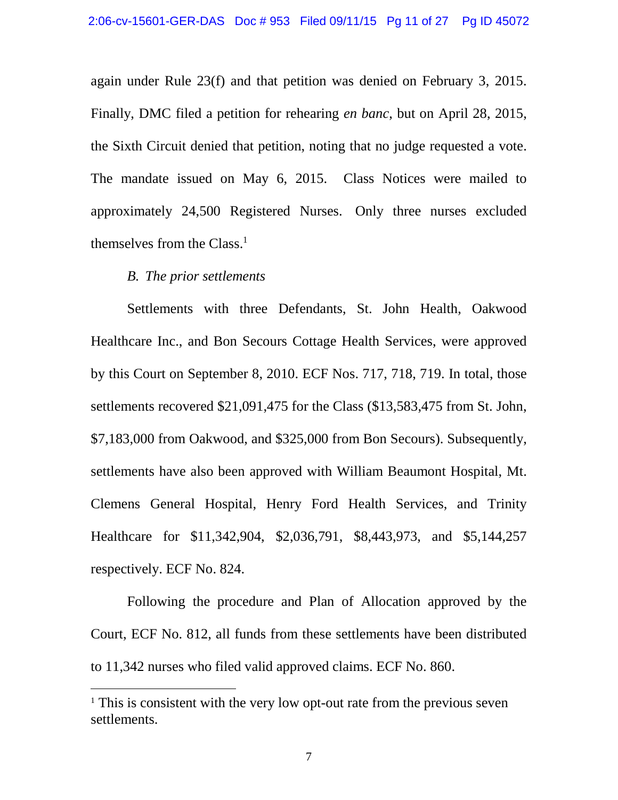again under Rule 23(f) and that petition was denied on February 3, 2015. Finally, DMC filed a petition for rehearing *en banc*, but on April 28, 2015, the Sixth Circuit denied that petition, noting that no judge requested a vote. The mandate issued on May 6, 2015. Class Notices were mailed to approximately 24,500 Registered Nurses. Only three nurses excluded themselves from the Class.<sup>1</sup>

#### *B. The prior settlements*

Settlements with three Defendants, St. John Health, Oakwood Healthcare Inc., and Bon Secours Cottage Health Services, were approved by this Court on September 8, 2010. ECF Nos. 717, 718, 719. In total, those settlements recovered \$21,091,475 for the Class (\$13,583,475 from St. John, \$7,183,000 from Oakwood, and \$325,000 from Bon Secours). Subsequently, settlements have also been approved with William Beaumont Hospital, Mt. Clemens General Hospital, Henry Ford Health Services, and Trinity Healthcare for \$11,342,904, \$2,036,791, \$8,443,973, and \$5,144,257 respectively. ECF No. 824.

Following the procedure and Plan of Allocation approved by the Court, ECF No. 812, all funds from these settlements have been distributed to 11,342 nurses who filed valid approved claims. ECF No. 860.

<sup>&</sup>lt;sup>1</sup> This is consistent with the very low opt-out rate from the previous seven settlements.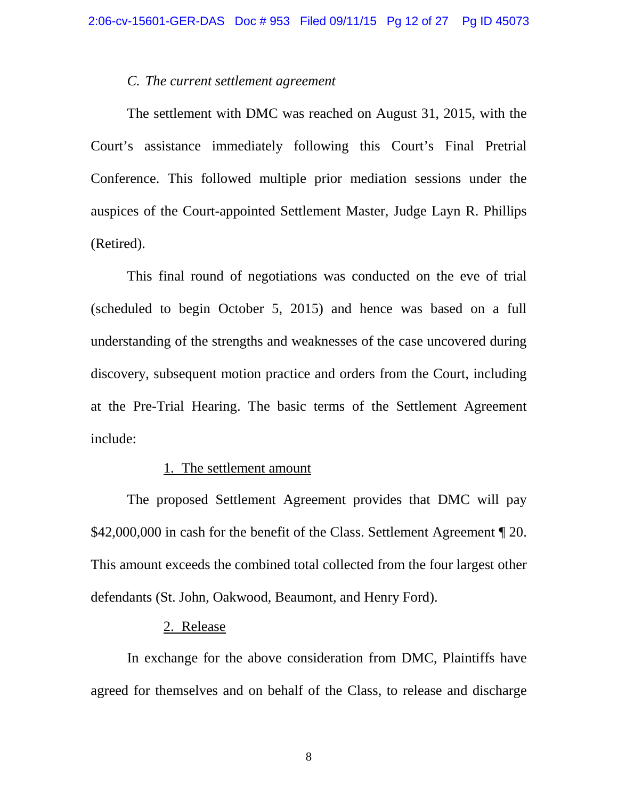#### *C. The current settlement agreement*

The settlement with DMC was reached on August 31, 2015, with the Court's assistance immediately following this Court's Final Pretrial Conference. This followed multiple prior mediation sessions under the auspices of the Court-appointed Settlement Master, Judge Layn R. Phillips (Retired).

This final round of negotiations was conducted on the eve of trial (scheduled to begin October 5, 2015) and hence was based on a full understanding of the strengths and weaknesses of the case uncovered during discovery, subsequent motion practice and orders from the Court, including at the Pre-Trial Hearing. The basic terms of the Settlement Agreement include:

#### 1. The settlement amount

The proposed Settlement Agreement provides that DMC will pay \$42,000,000 in cash for the benefit of the Class. Settlement Agreement ¶ 20. This amount exceeds the combined total collected from the four largest other defendants (St. John, Oakwood, Beaumont, and Henry Ford).

#### 2. Release

In exchange for the above consideration from DMC, Plaintiffs have agreed for themselves and on behalf of the Class, to release and discharge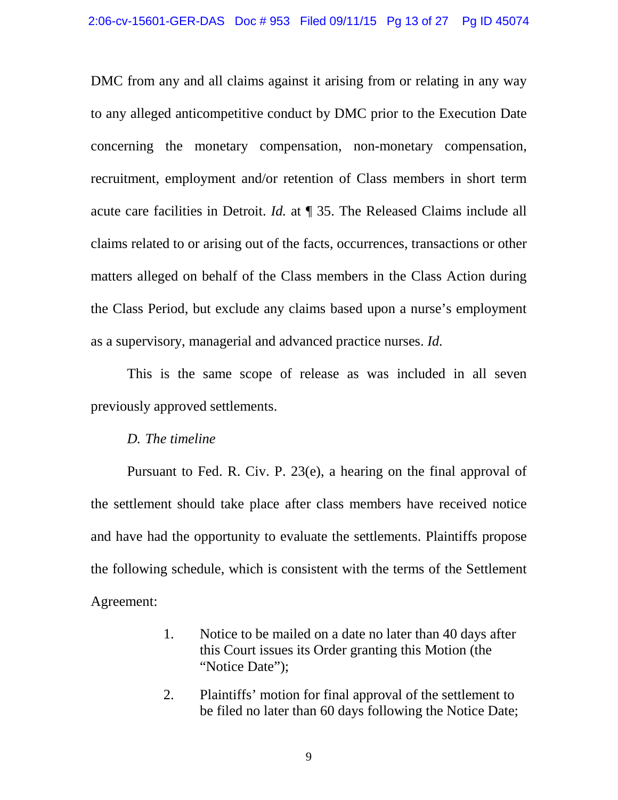DMC from any and all claims against it arising from or relating in any way to any alleged anticompetitive conduct by DMC prior to the Execution Date concerning the monetary compensation, non-monetary compensation, recruitment, employment and/or retention of Class members in short term acute care facilities in Detroit. *Id.* at ¶ 35. The Released Claims include all claims related to or arising out of the facts, occurrences, transactions or other matters alleged on behalf of the Class members in the Class Action during the Class Period, but exclude any claims based upon a nurse's employment as a supervisory, managerial and advanced practice nurses. *Id.*

This is the same scope of release as was included in all seven previously approved settlements.

#### *D. The timeline*

Pursuant to Fed. R. Civ. P. 23(e), a hearing on the final approval of the settlement should take place after class members have received notice and have had the opportunity to evaluate the settlements. Plaintiffs propose the following schedule, which is consistent with the terms of the Settlement Agreement:

- 1. Notice to be mailed on a date no later than 40 days after this Court issues its Order granting this Motion (the "Notice Date");
- 2. Plaintiffs' motion for final approval of the settlement to be filed no later than 60 days following the Notice Date;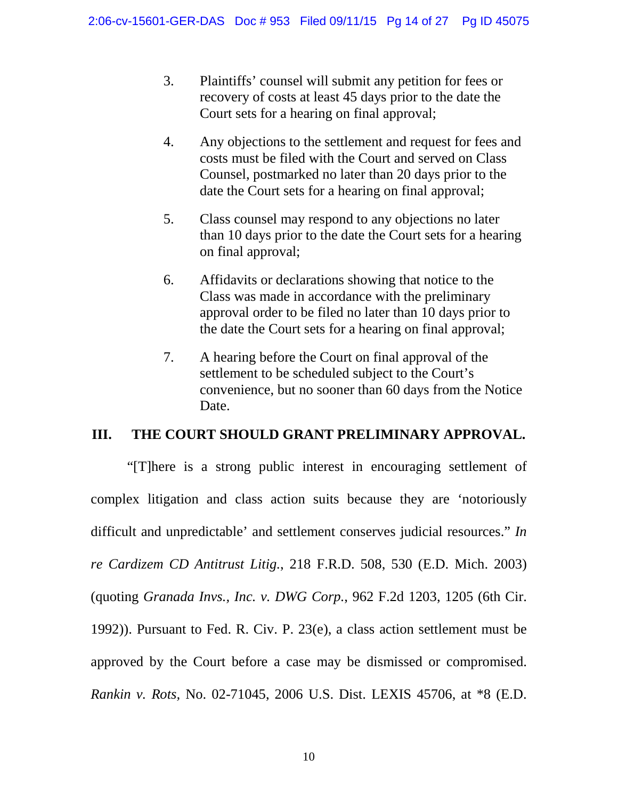- 3. Plaintiffs' counsel will submit any petition for fees or recovery of costs at least 45 days prior to the date the Court sets for a hearing on final approval;
- 4. Any objections to the settlement and request for fees and costs must be filed with the Court and served on Class Counsel, postmarked no later than 20 days prior to the date the Court sets for a hearing on final approval;
- 5. Class counsel may respond to any objections no later than 10 days prior to the date the Court sets for a hearing on final approval;
- 6. Affidavits or declarations showing that notice to the Class was made in accordance with the preliminary approval order to be filed no later than 10 days prior to the date the Court sets for a hearing on final approval;
- 7. A hearing before the Court on final approval of the settlement to be scheduled subject to the Court's convenience, but no sooner than 60 days from the Notice Date.

# **III. THE COURT SHOULD GRANT PRELIMINARY APPROVAL.**

"[T]here is a strong public interest in encouraging settlement of complex litigation and class action suits because they are 'notoriously difficult and unpredictable' and settlement conserves judicial resources." *In re Cardizem CD Antitrust Litig.*, 218 F.R.D. 508, 530 (E.D. Mich. 2003) (quoting *Granada Invs., Inc. v. DWG Corp.*, 962 F.2d 1203, 1205 (6th Cir. 1992)). Pursuant to Fed. R. Civ. P. 23(e), a class action settlement must be approved by the Court before a case may be dismissed or compromised. *Rankin v. Rots,* No. 02-71045, 2006 U.S. Dist. LEXIS 45706, at \*8 (E.D.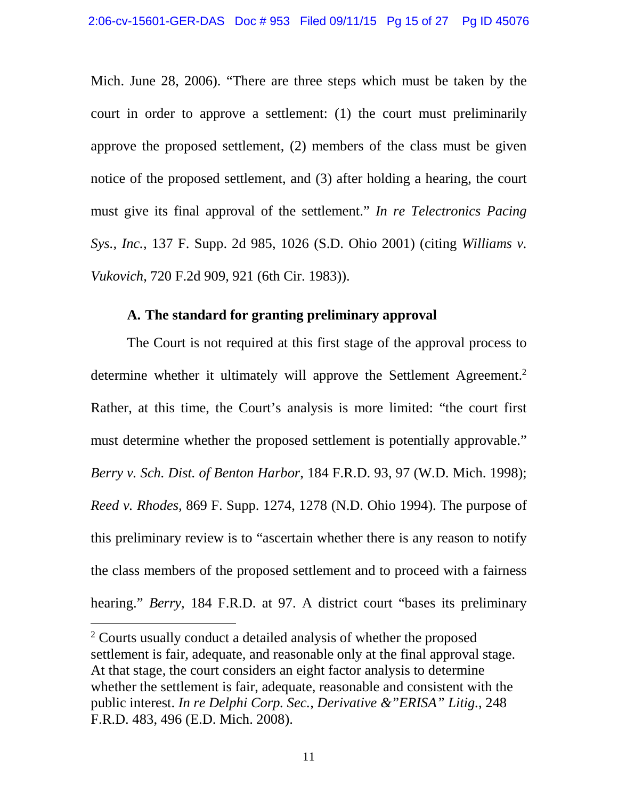Mich. June 28, 2006). "There are three steps which must be taken by the court in order to approve a settlement: (1) the court must preliminarily approve the proposed settlement, (2) members of the class must be given notice of the proposed settlement, and (3) after holding a hearing, the court must give its final approval of the settlement." *In re Telectronics Pacing Sys., Inc.,* 137 F. Supp. 2d 985, 1026 (S.D. Ohio 2001) (citing *Williams v. Vukovich*, 720 F.2d 909, 921 (6th Cir. 1983)).

#### **A. The standard for granting preliminary approval**

The Court is not required at this first stage of the approval process to determine whether it ultimately will approve the Settlement Agreement.<sup>2</sup> Rather, at this time, the Court's analysis is more limited: "the court first must determine whether the proposed settlement is potentially approvable." *Berry v. Sch. Dist. of Benton Harbor*, 184 F.R.D. 93, 97 (W.D. Mich. 1998); *Reed v. Rhodes,* 869 F. Supp. 1274, 1278 (N.D. Ohio 1994)*.* The purpose of this preliminary review is to "ascertain whether there is any reason to notify the class members of the proposed settlement and to proceed with a fairness hearing." *Berry,* 184 F.R.D. at 97. A district court "bases its preliminary

<sup>2</sup> Courts usually conduct a detailed analysis of whether the proposed settlement is fair, adequate, and reasonable only at the final approval stage. At that stage, the court considers an eight factor analysis to determine whether the settlement is fair, adequate, reasonable and consistent with the public interest. *In re Delphi Corp. Sec., Derivative &"ERISA" Litig.*, 248 F.R.D. 483, 496 (E.D. Mich. 2008).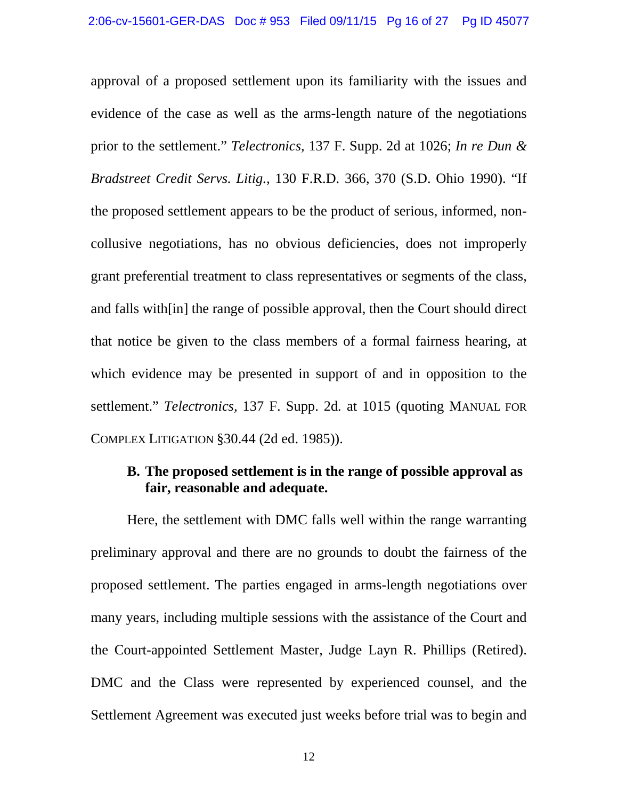approval of a proposed settlement upon its familiarity with the issues and evidence of the case as well as the arms-length nature of the negotiations prior to the settlement." *Telectronics,* 137 F. Supp. 2d at 1026; *In re Dun & Bradstreet Credit Servs. Litig.,* 130 F.R.D. 366, 370 (S.D. Ohio 1990). "If the proposed settlement appears to be the product of serious, informed, noncollusive negotiations, has no obvious deficiencies, does not improperly grant preferential treatment to class representatives or segments of the class, and falls with[in] the range of possible approval, then the Court should direct that notice be given to the class members of a formal fairness hearing, at which evidence may be presented in support of and in opposition to the settlement." *Telectronics,* 137 F. Supp. 2d*.* at 1015 (quoting MANUAL FOR COMPLEX LITIGATION §30.44 (2d ed. 1985)).

# **B. The proposed settlement is in the range of possible approval as fair, reasonable and adequate.**

Here, the settlement with DMC falls well within the range warranting preliminary approval and there are no grounds to doubt the fairness of the proposed settlement. The parties engaged in arms-length negotiations over many years, including multiple sessions with the assistance of the Court and the Court-appointed Settlement Master, Judge Layn R. Phillips (Retired). DMC and the Class were represented by experienced counsel, and the Settlement Agreement was executed just weeks before trial was to begin and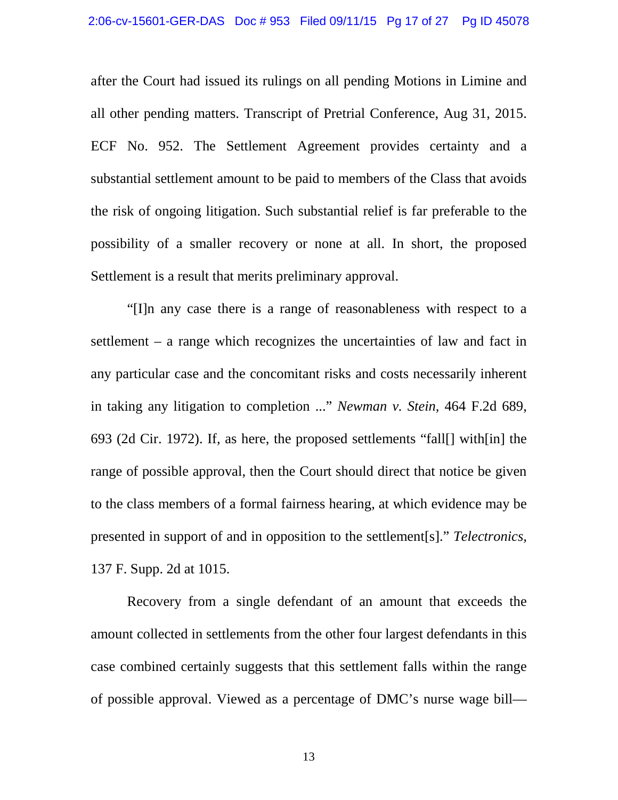after the Court had issued its rulings on all pending Motions in Limine and all other pending matters. Transcript of Pretrial Conference, Aug 31, 2015. ECF No. 952. The Settlement Agreement provides certainty and a substantial settlement amount to be paid to members of the Class that avoids the risk of ongoing litigation. Such substantial relief is far preferable to the possibility of a smaller recovery or none at all. In short, the proposed Settlement is a result that merits preliminary approval.

"[I]n any case there is a range of reasonableness with respect to a settlement – a range which recognizes the uncertainties of law and fact in any particular case and the concomitant risks and costs necessarily inherent in taking any litigation to completion ..." *Newman v. Stein,* 464 F.2d 689, 693 (2d Cir. 1972). If, as here, the proposed settlements "fall[] with[in] the range of possible approval, then the Court should direct that notice be given to the class members of a formal fairness hearing, at which evidence may be presented in support of and in opposition to the settlement[s]." *Telectronics,* 137 F. Supp. 2d at 1015.

Recovery from a single defendant of an amount that exceeds the amount collected in settlements from the other four largest defendants in this case combined certainly suggests that this settlement falls within the range of possible approval. Viewed as a percentage of DMC's nurse wage bill—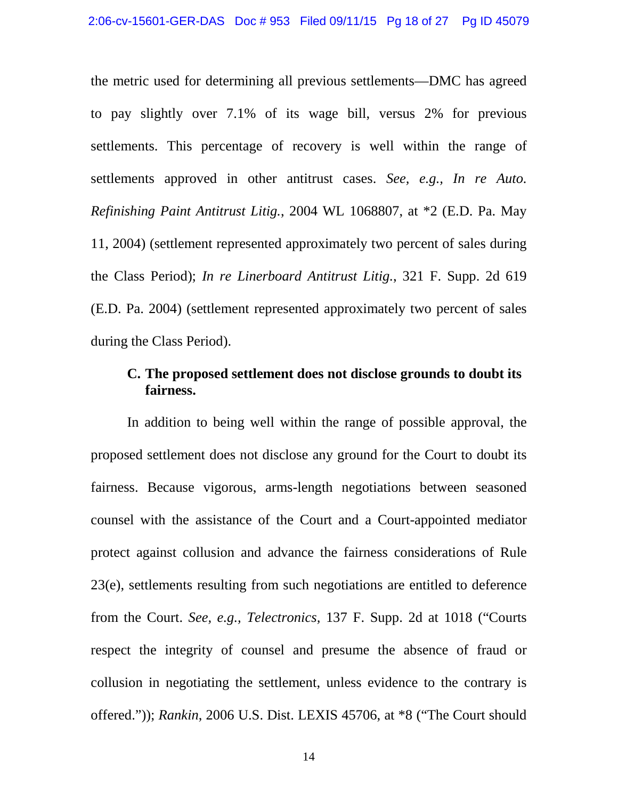the metric used for determining all previous settlements—DMC has agreed to pay slightly over 7.1% of its wage bill, versus 2% for previous settlements. This percentage of recovery is well within the range of settlements approved in other antitrust cases. *See, e.g., In re Auto. Refinishing Paint Antitrust Litig.*, 2004 WL 1068807, at \*2 (E.D. Pa. May 11, 2004) (settlement represented approximately two percent of sales during the Class Period); *In re Linerboard Antitrust Litig.*, 321 F. Supp. 2d 619 (E.D. Pa. 2004) (settlement represented approximately two percent of sales during the Class Period).

### **C. The proposed settlement does not disclose grounds to doubt its fairness.**

In addition to being well within the range of possible approval, the proposed settlement does not disclose any ground for the Court to doubt its fairness. Because vigorous, arms-length negotiations between seasoned counsel with the assistance of the Court and a Court-appointed mediator protect against collusion and advance the fairness considerations of Rule 23(e), settlements resulting from such negotiations are entitled to deference from the Court. *See, e.g., Telectronics,* 137 F. Supp. 2d at 1018 ("Courts respect the integrity of counsel and presume the absence of fraud or collusion in negotiating the settlement, unless evidence to the contrary is offered.")); *Rankin*, 2006 U.S. Dist. LEXIS 45706, at \*8 ("The Court should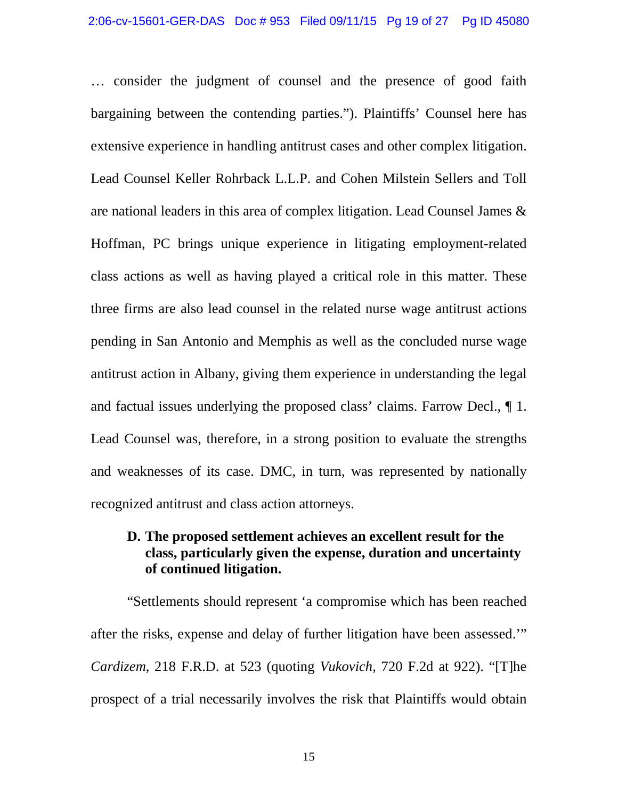… consider the judgment of counsel and the presence of good faith bargaining between the contending parties."). Plaintiffs' Counsel here has extensive experience in handling antitrust cases and other complex litigation. Lead Counsel Keller Rohrback L.L.P. and Cohen Milstein Sellers and Toll are national leaders in this area of complex litigation. Lead Counsel James & Hoffman, PC brings unique experience in litigating employment-related class actions as well as having played a critical role in this matter. These three firms are also lead counsel in the related nurse wage antitrust actions pending in San Antonio and Memphis as well as the concluded nurse wage antitrust action in Albany, giving them experience in understanding the legal and factual issues underlying the proposed class' claims. Farrow Decl., ¶ 1. Lead Counsel was, therefore, in a strong position to evaluate the strengths and weaknesses of its case. DMC, in turn, was represented by nationally recognized antitrust and class action attorneys.

# **D. The proposed settlement achieves an excellent result for the class, particularly given the expense, duration and uncertainty of continued litigation.**

"Settlements should represent 'a compromise which has been reached after the risks, expense and delay of further litigation have been assessed.'" *Cardizem*, 218 F.R.D. at 523 (quoting *Vukovich*, 720 F.2d at 922). "[T]he prospect of a trial necessarily involves the risk that Plaintiffs would obtain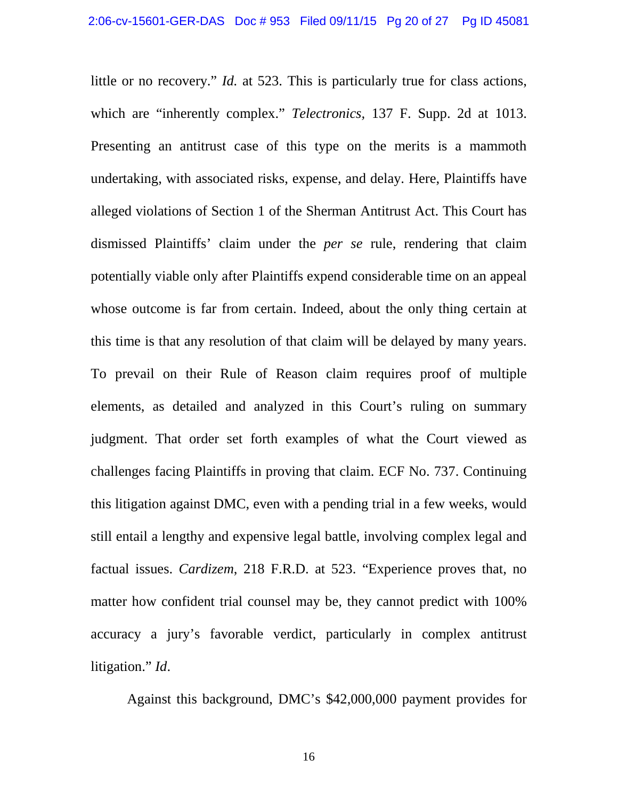little or no recovery." *Id.* at 523. This is particularly true for class actions, which are "inherently complex." *Telectronics,* 137 F. Supp. 2d at 1013. Presenting an antitrust case of this type on the merits is a mammoth undertaking, with associated risks, expense, and delay. Here, Plaintiffs have alleged violations of Section 1 of the Sherman Antitrust Act. This Court has dismissed Plaintiffs' claim under the *per se* rule, rendering that claim potentially viable only after Plaintiffs expend considerable time on an appeal whose outcome is far from certain. Indeed, about the only thing certain at this time is that any resolution of that claim will be delayed by many years. To prevail on their Rule of Reason claim requires proof of multiple elements, as detailed and analyzed in this Court's ruling on summary judgment. That order set forth examples of what the Court viewed as challenges facing Plaintiffs in proving that claim. ECF No. 737. Continuing this litigation against DMC, even with a pending trial in a few weeks, would still entail a lengthy and expensive legal battle, involving complex legal and factual issues. *Cardizem*, 218 F.R.D. at 523. "Experience proves that, no matter how confident trial counsel may be, they cannot predict with 100% accuracy a jury's favorable verdict, particularly in complex antitrust litigation." *Id*.

Against this background, DMC's \$42,000,000 payment provides for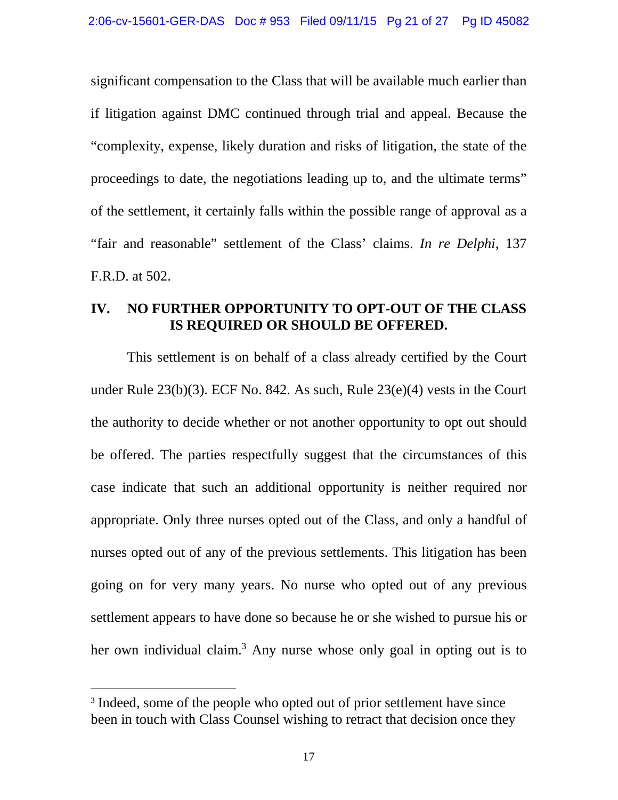significant compensation to the Class that will be available much earlier than if litigation against DMC continued through trial and appeal. Because the "complexity, expense, likely duration and risks of litigation, the state of the proceedings to date, the negotiations leading up to, and the ultimate terms" of the settlement, it certainly falls within the possible range of approval as a "fair and reasonable" settlement of the Class' claims. *In re Delphi,* 137 F.R.D. at 502.

# **IV. NO FURTHER OPPORTUNITY TO OPT-OUT OF THE CLASS IS REQUIRED OR SHOULD BE OFFERED.**

This settlement is on behalf of a class already certified by the Court under Rule 23(b)(3). ECF No. 842. As such, Rule 23(e)(4) vests in the Court the authority to decide whether or not another opportunity to opt out should be offered. The parties respectfully suggest that the circumstances of this case indicate that such an additional opportunity is neither required nor appropriate. Only three nurses opted out of the Class, and only a handful of nurses opted out of any of the previous settlements. This litigation has been going on for very many years. No nurse who opted out of any previous settlement appears to have done so because he or she wished to pursue his or her own individual claim.<sup>3</sup> Any nurse whose only goal in opting out is to

<sup>&</sup>lt;sup>3</sup> Indeed, some of the people who opted out of prior settlement have since been in touch with Class Counsel wishing to retract that decision once they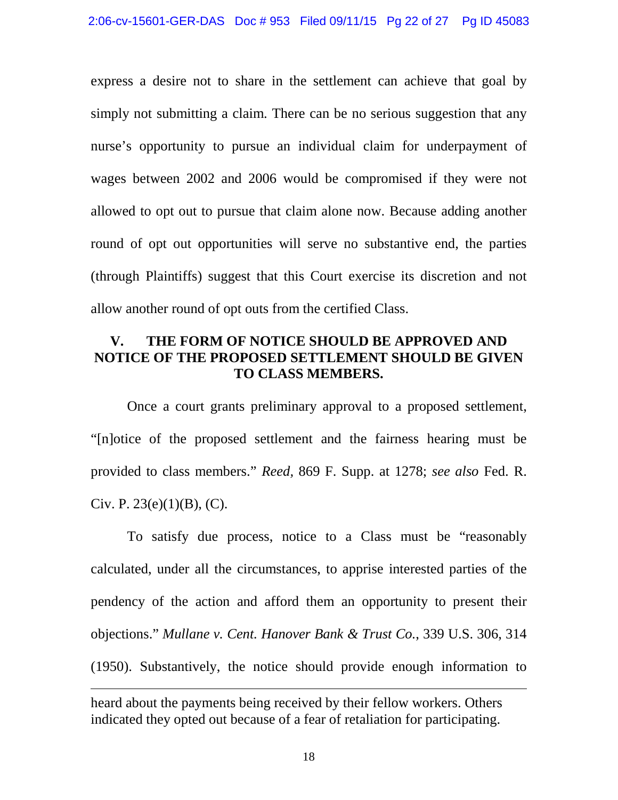express a desire not to share in the settlement can achieve that goal by simply not submitting a claim. There can be no serious suggestion that any nurse's opportunity to pursue an individual claim for underpayment of wages between 2002 and 2006 would be compromised if they were not allowed to opt out to pursue that claim alone now. Because adding another round of opt out opportunities will serve no substantive end, the parties (through Plaintiffs) suggest that this Court exercise its discretion and not allow another round of opt outs from the certified Class.

### **V. THE FORM OF NOTICE SHOULD BE APPROVED AND NOTICE OF THE PROPOSED SETTLEMENT SHOULD BE GIVEN TO CLASS MEMBERS.**

Once a court grants preliminary approval to a proposed settlement, "[n]otice of the proposed settlement and the fairness hearing must be provided to class members." *Reed,* 869 F. Supp. at 1278; *see also* Fed. R. Civ. P.  $23(e)(1)(B)$ , (C).

To satisfy due process, notice to a Class must be "reasonably calculated, under all the circumstances, to apprise interested parties of the pendency of the action and afford them an opportunity to present their objections." *Mullane v. Cent. Hanover Bank & Trust Co.*, 339 U.S. 306, 314 (1950). Substantively, the notice should provide enough information to

heard about the payments being received by their fellow workers. Others indicated they opted out because of a fear of retaliation for participating.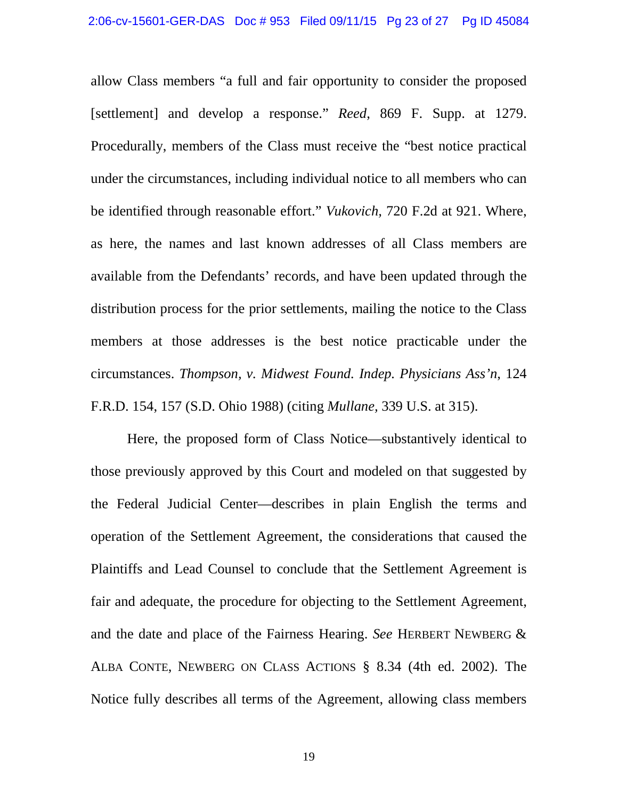allow Class members "a full and fair opportunity to consider the proposed [settlement] and develop a response." *Reed*, 869 F. Supp. at 1279. Procedurally, members of the Class must receive the "best notice practical under the circumstances, including individual notice to all members who can be identified through reasonable effort." *Vukovich,* 720 F.2d at 921. Where, as here, the names and last known addresses of all Class members are available from the Defendants' records, and have been updated through the distribution process for the prior settlements, mailing the notice to the Class members at those addresses is the best notice practicable under the circumstances. *Thompson, v. Midwest Found. Indep. Physicians Ass'n*, 124 F.R.D. 154, 157 (S.D. Ohio 1988) (citing *Mullane,* 339 U.S. at 315).

Here, the proposed form of Class Notice—substantively identical to those previously approved by this Court and modeled on that suggested by the Federal Judicial Center—describes in plain English the terms and operation of the Settlement Agreement, the considerations that caused the Plaintiffs and Lead Counsel to conclude that the Settlement Agreement is fair and adequate, the procedure for objecting to the Settlement Agreement, and the date and place of the Fairness Hearing. *See* HERBERT NEWBERG & ALBA CONTE, NEWBERG ON CLASS ACTIONS § 8.34 (4th ed. 2002). The Notice fully describes all terms of the Agreement, allowing class members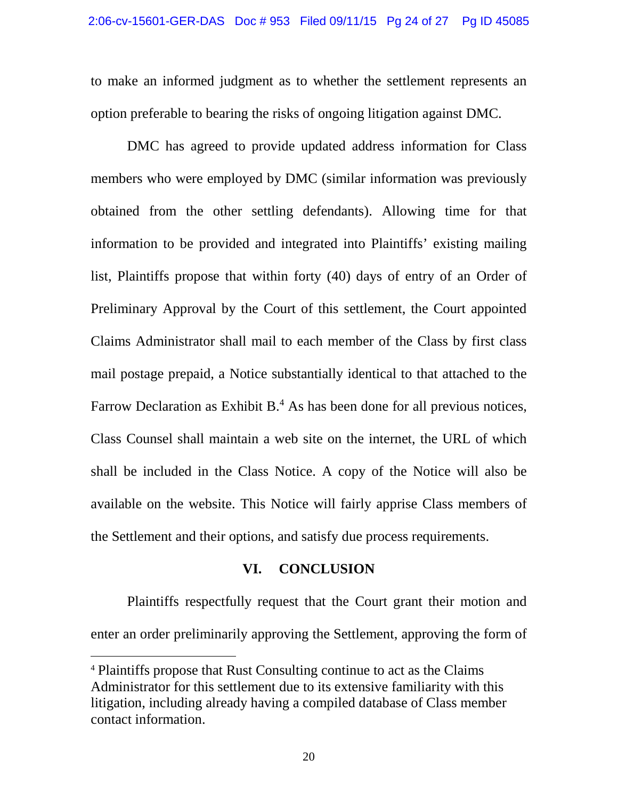to make an informed judgment as to whether the settlement represents an option preferable to bearing the risks of ongoing litigation against DMC.

DMC has agreed to provide updated address information for Class members who were employed by DMC (similar information was previously obtained from the other settling defendants). Allowing time for that information to be provided and integrated into Plaintiffs' existing mailing list, Plaintiffs propose that within forty (40) days of entry of an Order of Preliminary Approval by the Court of this settlement, the Court appointed Claims Administrator shall mail to each member of the Class by first class mail postage prepaid, a Notice substantially identical to that attached to the Farrow Declaration as Exhibit  $B<sup>4</sup>$ . As has been done for all previous notices, Class Counsel shall maintain a web site on the internet, the URL of which shall be included in the Class Notice. A copy of the Notice will also be available on the website. This Notice will fairly apprise Class members of the Settlement and their options, and satisfy due process requirements.

#### **VI. CONCLUSION**

Plaintiffs respectfully request that the Court grant their motion and enter an order preliminarily approving the Settlement, approving the form of

<sup>4</sup> Plaintiffs propose that Rust Consulting continue to act as the Claims Administrator for this settlement due to its extensive familiarity with this litigation, including already having a compiled database of Class member contact information.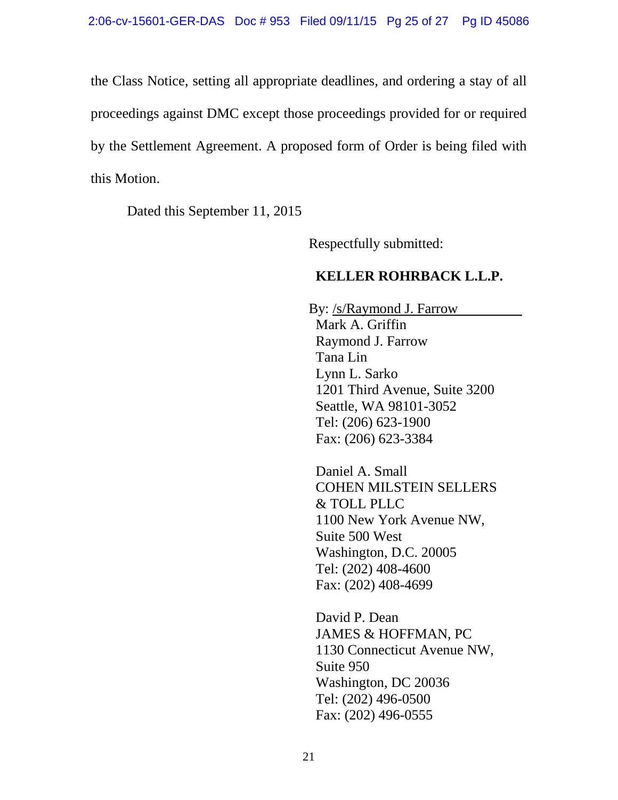the Class Notice, setting all appropriate deadlines, and ordering a stay of all proceedings against DMC except those proceedings provided for or required by the Settlement Agreement. A proposed form of Order is being filed with this Motion.

Dated this September 11, 2015

Respectfully submitted:

# **KELLER ROHRBACK L.L.P.**

By: /s/Raymond J. Farrow Mark A. Griffin Raymond J. Farrow Tana Lin Lynn L. Sarko 1201 Third Avenue, Suite 3200 Seattle, WA 98101-3052 Tel: (206) 623-1900 Fax: (206) 623-3384

Daniel A. Small COHEN MILSTEIN SELLERS & TOLL PLLC 1100 New York Avenue NW, Suite 500 West Washington, D.C. 20005 Tel: (202) 408-4600 Fax: (202) 408-4699

David P. Dean JAMES & HOFFMAN, PC 1130 Connecticut Avenue NW, Suite 950 Washington, DC 20036 Tel: (202) 496-0500 Fax: (202) 496-0555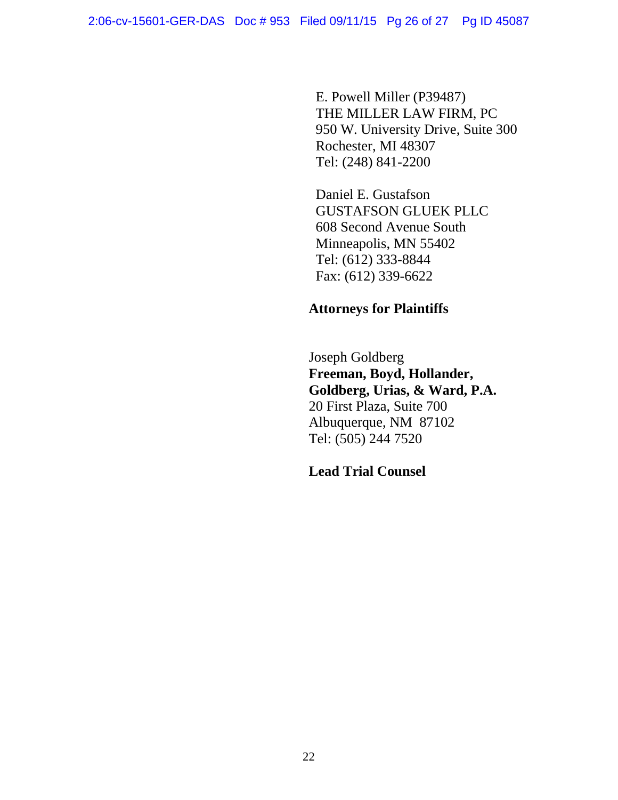E. Powell Miller (P39487) THE MILLER LAW FIRM, PC 950 W. University Drive, Suite 300 Rochester, MI 48307 Tel: (248) 841-2200

Daniel E. Gustafson GUSTAFSON GLUEK PLLC 608 Second Avenue South Minneapolis, MN 55402 Tel: (612) 333-8844 Fax: (612) 339-6622

# **Attorneys for Plaintiffs**

Joseph Goldberg **Freeman, Boyd, Hollander, Goldberg, Urias, & Ward, P.A.** 20 First Plaza, Suite 700 Albuquerque, NM 87102 Tel: (505) 244 7520

**Lead Trial Counsel**